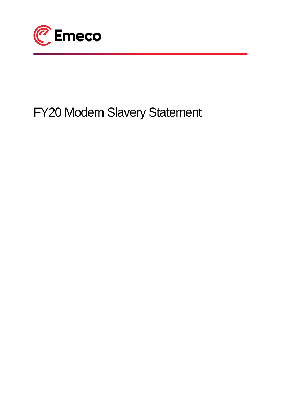

# FY20 Modern Slavery Statement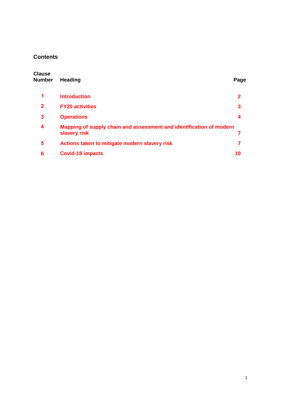# **Contents**

| <b>Clause</b><br><b>Number</b> | Heading                                                                             | Page        |
|--------------------------------|-------------------------------------------------------------------------------------|-------------|
| 1                              | <b>Introduction</b>                                                                 | $\mathbf 2$ |
| $\mathbf{2}$                   | <b>FY20 activities</b>                                                              | 3           |
| 3                              | <b>Operations</b>                                                                   | 4           |
| 4                              | Mapping of supply chain and assessment and identification of modern<br>slavery risk | 7           |
| 5                              | Actions taken to mitigate modern slavery risk                                       | 7           |
| 6                              | <b>Covid-19 impacts</b>                                                             | 10          |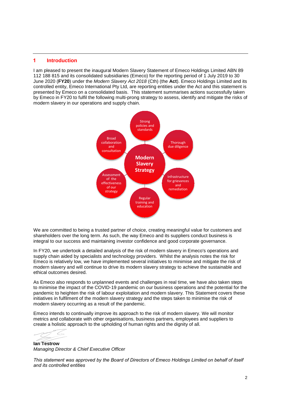#### **Introduction 1**

I am pleased to present the inaugural Modern Slavery Statement of Emeco Holdings Limited ABN 89 112 188 815 and its consolidated subsidiaries (Emeco) for the reporting period of 1 July 2019 to 30 June 2020 (**FY20**) under the *Modern Slavery Act 2018* (Cth) (the **Act**). Emeco Holdings Limited and its controlled entity, Emeco International Pty Ltd, are reporting entities under the Act and this statement is presented by Emeco on a consolidated basis. This statement summarises actions successfully taken by Emeco in FY20 to fulfil the following multi-prong strategy to assess, identify and mitigate the risks of modern slavery in our operations and supply chain.



We are committed to being a trusted partner of choice, creating meaningful value for customers and shareholders over the long term. As such, the way Emeco and its suppliers conduct business is integral to our success and maintaining investor confidence and good corporate governance.

In FY20, we undertook a detailed analysis of the risk of modern slavery in Emeco's operations and supply chain aided by specialists and technology providers. Whilst the analysis notes the risk for Emeco is relatively low, we have implemented several initiatives to minimise and mitigate the risk of modern slavery and will continue to drive its modern slavery strategy to achieve the sustainable and ethical outcomes desired.

As Emeco also responds to unplanned events and challenges in real time, we have also taken steps to minimise the impact of the COVID-19 pandemic on our business operations and the potential for the pandemic to heighten the risk of labour exploitation and modern slavery. This Statement covers these initiatives in fulfilment of the modern slavery strategy and the steps taken to minimise the risk of modern slavery occurring as a result of the pandemic.

Emeco intends to continually improve its approach to the risk of modern slavery. We will monitor metrics and collaborate with other organisations, business partners, employees and suppliers to create a holistic approach to the upholding of human rights and the dignity of all.

**Ian Testrow** *Managing Director & Chief Executive Officer* 

*This statement was approved by the Board of Directors of Emeco Holdings Limited on behalf of itself and its controlled entities*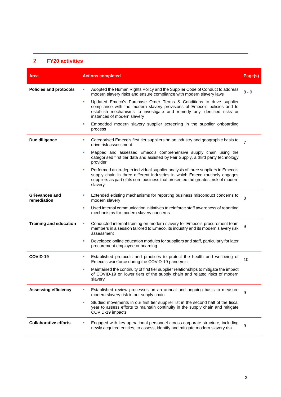#### **FY20 activities 2**

| Area                          | <b>Actions completed</b>                                                                                                                                                                                                                                             | Page(s)        |
|-------------------------------|----------------------------------------------------------------------------------------------------------------------------------------------------------------------------------------------------------------------------------------------------------------------|----------------|
| <b>Policies and protocols</b> | Adopted the Human Rights Policy and the Supplier Code of Conduct to address<br>×<br>modern slavery risks and ensure compliance with modern slavery laws                                                                                                              | $8 - 9$        |
|                               | Updated Emeco's Purchase Order Terms & Conditions to drive supplier<br>٠<br>compliance with the modern slavery provisions of Emeco's policies and to<br>establish mechanisms to investigate and remedy any identified risks or<br>instances of modern slavery        |                |
|                               | Embedded modern slavery supplier screening in the supplier onboarding<br>٠<br>process                                                                                                                                                                                |                |
| Due diligence                 | Categorised Emeco's first tier suppliers on an industry and geographic basis to<br>ш<br>drive risk assessment                                                                                                                                                        | $\overline{7}$ |
|                               | Mapped and assessed Emeco's comprehensive supply chain using the<br>٠<br>categorised first tier data and assisted by Fair Supply, a third party technology<br>provider                                                                                               |                |
|                               | Performed an in-depth individual supplier analysis of three suppliers in Emeco's<br>٠<br>supply chain in three different industries in which Emeco routinely engages<br>suppliers as part of its core business that presented the greatest risk of modern<br>slavery |                |
| Grievances and<br>remediation | Extended existing mechanisms for reporting business misconduct concerns to<br>×<br>modern slavery                                                                                                                                                                    | 8              |
|                               | Used internal communication initiatives to reinforce staff awareness of reporting<br>×<br>mechanisms for modern slavery concerns                                                                                                                                     |                |
| <b>Training and education</b> | Conducted internal training on modern slavery for Emeco's procurement team<br>×<br>members in a session tailored to Emeco, its industry and its modern slavery risk<br>assessment                                                                                    | 9              |
|                               | Developed online education modules for suppliers and staff, particularly for later<br>п<br>procurement employee onboarding                                                                                                                                           |                |
| COVID-19                      | Established protocols and practices to protect the health and wellbeing of<br>٠<br>Emeco's workforce during the COVID-19 pandemic                                                                                                                                    | 10             |
|                               | Maintained the continuity of first tier supplier relationships to mitigate the impact<br>×<br>of COVID-19 on lower tiers of the supply chain and related risks of modern<br>slavery                                                                                  |                |
| <b>Assessing efficiency</b>   | Established review processes on an annual and ongoing basis to measure<br>ш<br>modern slavery risk in our supply chain                                                                                                                                               | 9              |
|                               | Studied movements in our first tier supplier list in the second half of the fiscal<br>٠<br>year to assess efforts to maintain continuity in the supply chain and mitigate<br>COVID-19 impacts                                                                        |                |
| <b>Collaborative efforts</b>  | Engaged with key operational personnel across corporate structure, including<br>ш<br>newly acquired entities, to assess, identify and mitigate modern slavery risk.                                                                                                  | 9              |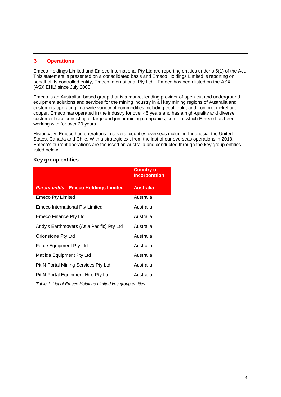#### **Operations 3**

Emeco Holdings Limited and Emeco International Pty Ltd are reporting entities under s 5(1) of the Act. This statement is presented on a consolidated basis and Emeco Holdings Limited is reporting on behalf of its controlled entity, Emeco International Pty Ltd. Emeco has been listed on the ASX (ASX:EHL) since July 2006.

Emeco is an Australian-based group that is a market leading provider of open-cut and underground equipment solutions and services for the mining industry in all key mining regions of Australia and customers operating in a wide variety of commodities including coal, gold, and iron ore, nickel and copper. Emeco has operated in the industry for over 45 years and has a high-quality and diverse customer base consisting of large and junior mining companies, some of which Emeco has been working with for over 20 years.

Historically, Emeco had operations in several counties overseas including Indonesia, the United States, Canada and Chile. With a strategic exit from the last of our overseas operations in 2018, Emeco's current operations are focussed on Australia and conducted through the key group entities listed below.

# **Key group entities**

|                                                            | <b>Country of</b><br><b>Incorporation</b> |  |
|------------------------------------------------------------|-------------------------------------------|--|
| <b>Parent entity - Emeco Holdings Limited</b>              | <b>Australia</b>                          |  |
| <b>Emeco Pty Limited</b>                                   | Australia                                 |  |
| <b>Emeco International Pty Limited</b>                     | Australia                                 |  |
| Emeco Finance Pty Ltd                                      | Australia                                 |  |
| Andy's Earthmovers (Asia Pacific) Pty Ltd                  | Australia                                 |  |
| Orionstone Pty Ltd                                         | Australia                                 |  |
| Force Equipment Pty Ltd                                    | Australia                                 |  |
| Matilda Equipment Pty Ltd                                  | Australia                                 |  |
| Pit N Portal Mining Services Pty Ltd                       | Australia                                 |  |
| Pit N Portal Equipment Hire Pty Ltd                        | Australia                                 |  |
| Table 1. List of Emeco Holdings Limited key group entities |                                           |  |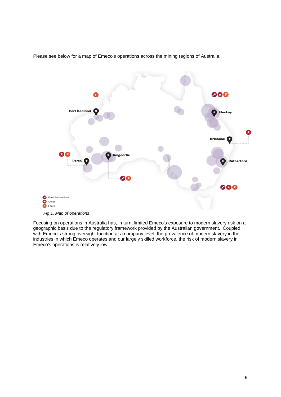

Please see below for a map of Emeco's operations across the mining regions of Australia.

*Fig 1. Map of operations*

Focusing on operations in Australia has, in turn, limited Emeco's exposure to modern slavery risk on a geographic basis due to the regulatory framework provided by the Australian government. Coupled with Emeco's strong oversight function at a company level, the prevalence of modern slavery in the industries in which Emeco operates and our largely skilled workforce, the risk of modern slavery in Emeco's operations is relatively low.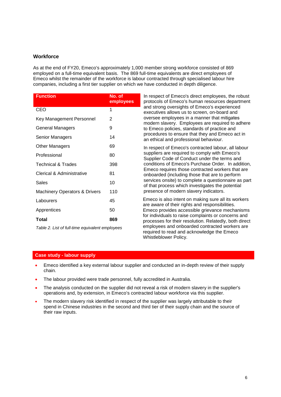## **Workforce**

As at the end of FY20, Emeco's approximately 1,000 member strong workforce consisted of 869 employed on a full-time equivalent basis. The 869 full-time equivalents are direct employees of Emeco whilst the remainder of the workforce is labour contracted through specialised labour hire companies, including a first tier supplier on which we have conducted in depth diligence.

| <b>Function</b>                          | No. of<br>employees |
|------------------------------------------|---------------------|
| CEO                                      | 1                   |
| Key Management Personnel                 | 2                   |
| <b>General Managers</b>                  | 9                   |
| Senior Managers                          | 14                  |
| <b>Other Managers</b>                    | 69                  |
| Professional                             | 80                  |
| <b>Technical &amp; Trades</b>            | 398                 |
| Clerical & Administrative                | 81                  |
| Sales                                    | 10                  |
| <b>Machinery Operators &amp; Drivers</b> | 110                 |
| Labourers                                | 45                  |
| Apprentices                              | 50                  |
| Total                                    | 869                 |
|                                          |                     |

*Table 2. List of full-time equivalent employees*

In respect of Emeco's direct employees, the robust protocols of Emeco's human resources department and strong oversights of Emeco's experienced executives allows us to screen, on-board and oversee employees in a manner that mitigates modern slavery. Employees are required to adhere to Emeco policies, standards of practice and procedures to ensure that they and Emeco act in an ethical and professional behaviour.

In respect of Emeco's contracted labour, all labour suppliers are required to comply with Emeco's Supplier Code of Conduct under the terms and conditions of Emeco's Purchase Order. In addition, Emeco requires those contracted workers that are onboarded (including those that are to perform services onsite) to complete a questionnaire as part of that process which investigates the potential presence of modern slavery indicators.

Emeco is also intent on making sure all its workers are aware of their rights and responsibilities. Emeco provides accessible grievance mechanisms for individuals to raise complaints or concerns and processes for their resolution. Relatedly, both direct employees and onboarded contracted workers are required to read and acknowledge the Emeco Whistleblower Policy.

#### **Case study - labour supply**

- Emeco identified a key external labour supplier and conducted an in-depth review of their supply chain.
- The labour provided were trade personnel, fully accredited in Australia.
- The analysis conducted on the supplier did not reveal a risk of modern slavery in the supplier's operations and, by extension, in Emeco's contracted labour workforce via this supplier.
- The modern slavery risk identified in respect of the supplier was largely attributable to their spend in Chinese industries in the second and third tier of their supply chain and the source of their raw inputs.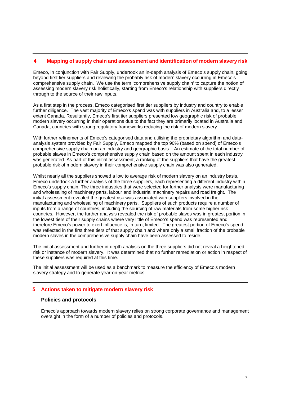#### **Mapping of supply chain and assessment and identification of modern slavery risk 4**

Emeco, in conjunction with Fair Supply, undertook an in-depth analysis of Emeco's supply chain, going beyond first tier suppliers and reviewing the probably risk of modern slavery occurring in Emeco's comprehensive supply chain. We use the term 'comprehensive supply chain' to capture the notion of assessing modern slavery risk holistically, starting from Emeco's relationship with suppliers directly through to the source of their raw inputs.

As a first step in the process, Emeco categorised first tier suppliers by industry and country to enable further diligence. The vast majority of Emeco's spend was with suppliers in Australia and, to a lesser extent Canada. Resultantly, Emeco's first tier suppliers presented low geographic risk of probable modern slavery occurring in their operations due to the fact they are primarily located in Australia and Canada, countries with strong regulatory frameworks reducing the risk of modern slavery.

With further refinements of Emeco's categorised data and utilising the proprietary algorithm and dataanalysis system provided by Fair Supply, Emeco mapped the top 90% (based on spend) of Emeco's comprehensive supply chain on an industry and geographic basis. An estimate of the total number of probable slaves in Emeco's comprehensive supply chain based on the amount spent in each industry was generated. As part of this initial assessment, a ranking of the suppliers that have the greatest probable risk of modern slavery in their comprehensive supply chain was also generated.

Whilst nearly all the suppliers showed a low to average risk of modern slavery on an industry basis, Emeco undertook a further analysis of the three suppliers, each representing a different industry within Emeco's supply chain. The three industries that were selected for further analysis were manufacturing and wholesaling of machinery parts, labour and industrial machinery repairs and road freight. The initial assessment revealed the greatest risk was associated with suppliers involved in the manufacturing and wholesaling of machinery parts. Suppliers of such products require a number of inputs from a range of countries, including the sourcing of raw materials from some higher risk countries. However, the further analysis revealed the risk of probable slaves was in greatest portion in the lowest tiers of their supply chains where very little of Emeco's spend was represented and therefore Emeco's power to exert influence is, in turn, limited. The greatest portion of Emeco's spend was reflected in the first three tiers of that supply chain and where only a small fraction of the probable modern slaves in the comprehensive supply chain have been assessed to reside.

The initial assessment and further in-depth analysis on the three suppliers did not reveal a heightened risk or instance of modern slavery. It was determined that no further remediation or action in respect of these suppliers was required at this time.

The initial assessment will be used as a benchmark to measure the efficiency of Emeco's modern slavery strategy and to generate year-on-year metrics.

# **Actions taken to mitigate modern slavery risk 5**

#### **Policies and protocols**

Emeco's approach towards modern slavery relies on strong corporate governance and management oversight in the form of a number of policies and protocols.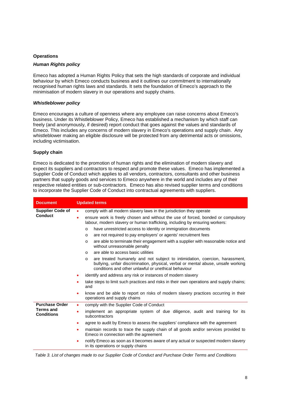#### **Operations**

#### *Human Rights policy*

Emeco has adopted a Human Rights Policy that sets the high standards of corporate and individual behaviour by which Emeco conducts business and it outlines our commitment to internationally recognised human rights laws and standards. It sets the foundation of Emeco's approach to the minimisation of modern slavery in our operations and supply chains.

#### *Whistleblower policy*

Emeco encourages a culture of openness where any employee can raise concerns about Emeco's business. Under its Whistleblower Policy, Emeco has established a mechanism by which staff can freely (and anonymously, if desired) report conduct that goes against the values and standards of Emeco. This includes any concerns of modern slavery in Emeco's operations and supply chain. Any whistleblower making an eligible disclosure will be protected from any detrimental acts or omissions, including victimisation.

#### **Supply chain**

Emeco is dedicated to the promotion of human rights and the elimination of modern slavery and expect its suppliers and contractors to respect and promote these values. Emeco has implemented a Supplier Code of Conduct which applies to all vendors, contractors, consultants and other business partners that supply goods and services to Emeco anywhere in the world and includes any of their respective related entities or sub-contractors. Emeco has also revised supplier terms and conditions to incorporate the Supplier Code of Conduct into contractual agreements with suppliers.

| <b>Document</b>                | <b>Updated terms</b>                                                                                                                                                                                                                |  |
|--------------------------------|-------------------------------------------------------------------------------------------------------------------------------------------------------------------------------------------------------------------------------------|--|
| <b>Supplier Code of</b>        | comply with all modern slavery laws in the jurisdiction they operate<br>$\bullet$                                                                                                                                                   |  |
| <b>Conduct</b>                 | ensure work is freely chosen and without the use of forced, bonded or compulsory<br>٠<br>labour, modern slavery or human trafficking, including by ensuring workers:                                                                |  |
|                                | have unrestricted access to identity or immigration documents<br>$\circ$                                                                                                                                                            |  |
|                                | are not required to pay employers' or agents' recruitment fees<br>$\circ$                                                                                                                                                           |  |
|                                | are able to terminate their engagement with a supplier with reasonable notice and<br>$\circ$<br>without unreasonable penalty                                                                                                        |  |
|                                | are able to access basic utilities<br>$\circ$                                                                                                                                                                                       |  |
|                                | are treated humanely and not subject to intimidation, coercion, harassment,<br>$\circ$<br>bullying, unfair discrimination, physical, verbal or mental abuse, unsafe working<br>conditions and other unlawful or unethical behaviour |  |
|                                | identify and address any risk or instances of modern slavery<br>٠                                                                                                                                                                   |  |
|                                | take steps to limit such practices and risks in their own operations and supply chains;<br>٠<br>and                                                                                                                                 |  |
|                                | know and be able to report on risks of modern slavery practices occurring in their<br>$\bullet$<br>operations and supply chains                                                                                                     |  |
| <b>Purchase Order</b>          | comply with the Supplier Code of Conduct<br>٠                                                                                                                                                                                       |  |
| Terms and<br><b>Conditions</b> | implement an appropriate system of due diligence, audit and training for its<br>٠<br>subcontractors                                                                                                                                 |  |
|                                | agree to audit by Emeco to assess the suppliers' compliance with the agreement<br>٠                                                                                                                                                 |  |
|                                | maintain records to trace the supply chain of all goods and/or services provided to<br>٠<br>Emeco in connection with the agreement                                                                                                  |  |
|                                | notify Emeco as soon as it becomes aware of any actual or suspected modern slavery<br>٠<br>in its operations or supply chains                                                                                                       |  |

*Table 3. List of changes made to our Supplier Code of Conduct and Purchase Order Terms and Conditions*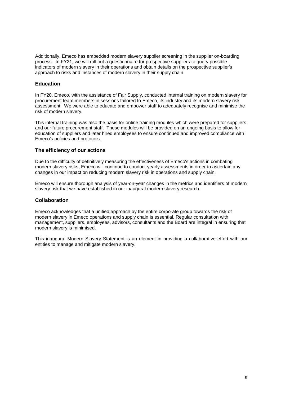Additionally, Emeco has embedded modern slavery supplier screening in the supplier on-boarding process. In FY21, we will roll out a questionnaire for prospective suppliers to query possible indicators of modern slavery in their operations and obtain details on the prospective supplier's approach to risks and instances of modern slavery in their supply chain.

# **Education**

In FY20, Emeco, with the assistance of Fair Supply, conducted internal training on modern slavery for procurement team members in sessions tailored to Emeco, its industry and its modern slavery risk assessment. We were able to educate and empower staff to adequately recognise and minimise the risk of modern slavery.

This internal training was also the basis for online training modules which were prepared for suppliers and our future procurement staff. These modules will be provided on an ongoing basis to allow for education of suppliers and later hired employees to ensure continued and improved compliance with Emeco's policies and protocols.

## **The efficiency of our actions**

Due to the difficulty of definitively measuring the effectiveness of Emeco's actions in combating modern slavery risks, Emeco will continue to conduct yearly assessments in order to ascertain any changes in our impact on reducing modern slavery risk in operations and supply chain.

Emeco will ensure thorough analysis of year-on-year changes in the metrics and identifiers of modern slavery risk that we have established in our inaugural modern slavery research.

### **Collaboration**

Emeco acknowledges that a unified approach by the entire corporate group towards the risk of modern slavery in Emeco operations and supply chain is essential. Regular consultation with management, suppliers, employees, advisors, consultants and the Board are integral in ensuring that modern slavery is minimised.

This inaugural Modern Slavery Statement is an element in providing a collaborative effort with our entities to manage and mitigate modern slavery.